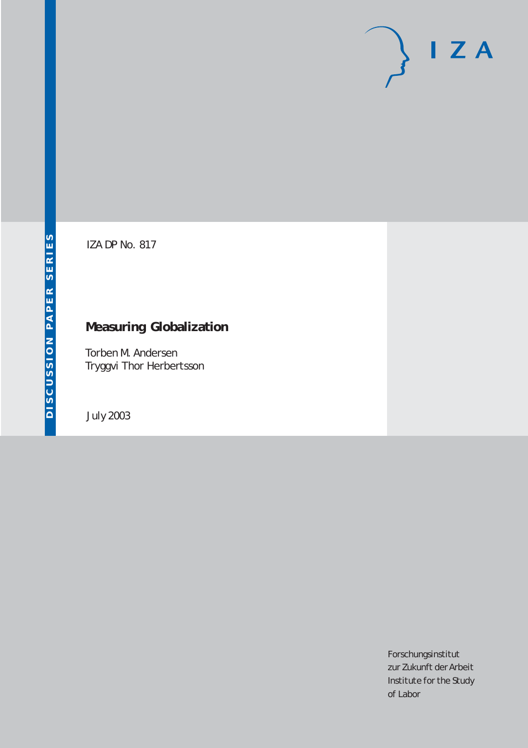# $I Z A$

IZA DP No. 817

## **Measuring Globalization**

Torben M. Andersen Tryggvi Thor Herbertsson

July 2003

Forschungsinstitut zur Zukunft der Arbeit Institute for the Study of Labor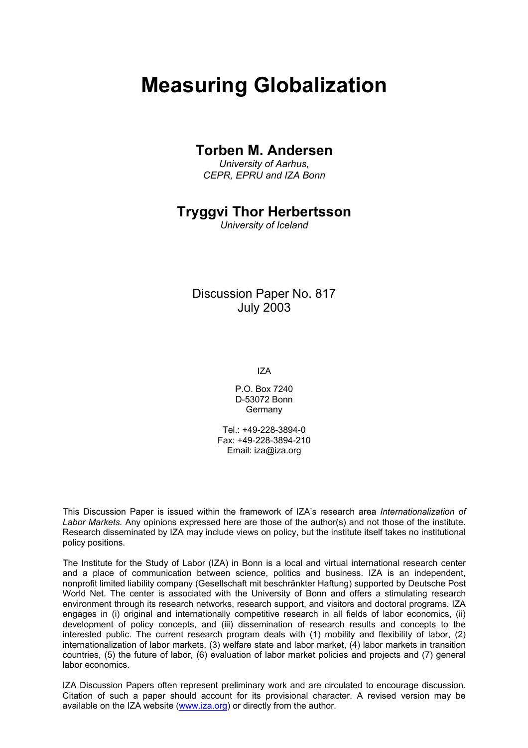# **Measuring Globalization**

### **Torben M. Andersen**

*University of Aarhus, CEPR, EPRU and IZA Bonn* 

## **Tryggvi Thor Herbertsson**

*University of Iceland* 

Discussion Paper No. 817 July 2003

IZA

P.O. Box 7240 D-53072 Bonn Germany

 $Tel + 49-228-3894-0$ Fax: +49-228-3894-210 Email: [iza@iza.org](mailto:iza@iza.org)

This Discussion Paper is issued within the framework of IZA's research area *Internationalization of Labor Markets.* Any opinions expressed here are those of the author(s) and not those of the institute. Research disseminated by IZA may include views on policy, but the institute itself takes no institutional policy positions.

The Institute for the Study of Labor (IZA) in Bonn is a local and virtual international research center and a place of communication between science, politics and business. IZA is an independent, nonprofit limited liability company (Gesellschaft mit beschränkter Haftung) supported by Deutsche Post World Net. The center is associated with the University of Bonn and offers a stimulating research environment through its research networks, research support, and visitors and doctoral programs. IZA engages in (i) original and internationally competitive research in all fields of labor economics, (ii) development of policy concepts, and (iii) dissemination of research results and concepts to the interested public. The current research program deals with (1) mobility and flexibility of labor, (2) internationalization of labor markets, (3) welfare state and labor market, (4) labor markets in transition countries, (5) the future of labor, (6) evaluation of labor market policies and projects and (7) general labor economics.

IZA Discussion Papers often represent preliminary work and are circulated to encourage discussion. Citation of such a paper should account for its provisional character. A revised version may be available on the IZA website ([www.iza.org](http://www.iza.org/)) or directly from the author.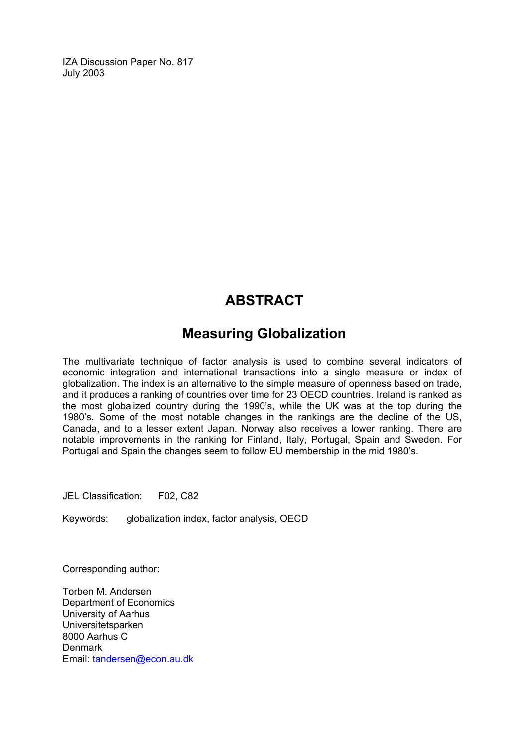IZA Discussion Paper No. 817 July 2003

## **ABSTRACT**

## **Measuring Globalization**

The multivariate technique of factor analysis is used to combine several indicators of economic integration and international transactions into a single measure or index of globalization. The index is an alternative to the simple measure of openness based on trade, and it produces a ranking of countries over time for 23 OECD countries. Ireland is ranked as the most globalized country during the 1990's, while the UK was at the top during the 1980's. Some of the most notable changes in the rankings are the decline of the US, Canada, and to a lesser extent Japan. Norway also receives a lower ranking. There are notable improvements in the ranking for Finland, Italy, Portugal, Spain and Sweden. For Portugal and Spain the changes seem to follow EU membership in the mid 1980's.

JEL Classification: F02, C82

Keywords: globalization index, factor analysis, OECD

Corresponding author:

Torben M. Andersen Department of Economics University of Aarhus Universitetsparken 8000 Aarhus C **Denmark** Email: [tandersen@econ.au.dk](mailto:tandersen@econ.au.dk)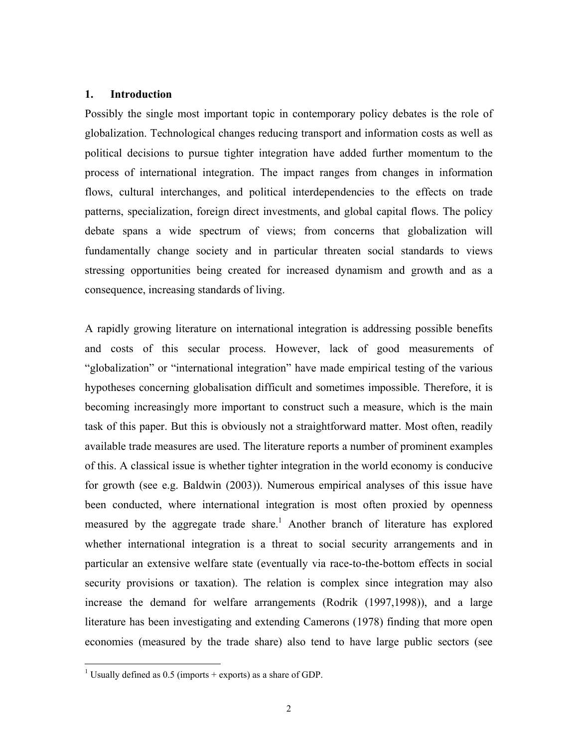#### **1. Introduction**

Possibly the single most important topic in contemporary policy debates is the role of globalization. Technological changes reducing transport and information costs as well as political decisions to pursue tighter integration have added further momentum to the process of international integration. The impact ranges from changes in information flows, cultural interchanges, and political interdependencies to the effects on trade patterns, specialization, foreign direct investments, and global capital flows. The policy debate spans a wide spectrum of views; from concerns that globalization will fundamentally change society and in particular threaten social standards to views stressing opportunities being created for increased dynamism and growth and as a consequence, increasing standards of living.

A rapidly growing literature on international integration is addressing possible benefits and costs of this secular process. However, lack of good measurements of "globalization" or "international integration" have made empirical testing of the various hypotheses concerning globalisation difficult and sometimes impossible. Therefore, it is becoming increasingly more important to construct such a measure, which is the main task of this paper. But this is obviously not a straightforward matter. Most often, readily available trade measures are used. The literature reports a number of prominent examples of this. A classical issue is whether tighter integration in the world economy is conducive for growth (see e.g. Baldwin (2003)). Numerous empirical analyses of this issue have been conducted, where international integration is most often proxied by openness measured by the aggregate trade share.<sup>[1](#page-3-0)</sup> Another branch of literature has explored whether international integration is a threat to social security arrangements and in particular an extensive welfare state (eventually via race-to-the-bottom effects in social security provisions or taxation). The relation is complex since integration may also increase the demand for welfare arrangements (Rodrik (1997,1998)), and a large literature has been investigating and extending Camerons (1978) finding that more open economies (measured by the trade share) also tend to have large public sectors (see

<u>.</u>

<span id="page-3-0"></span><sup>&</sup>lt;sup>1</sup> Usually defined as 0.5 (imports + exports) as a share of GDP.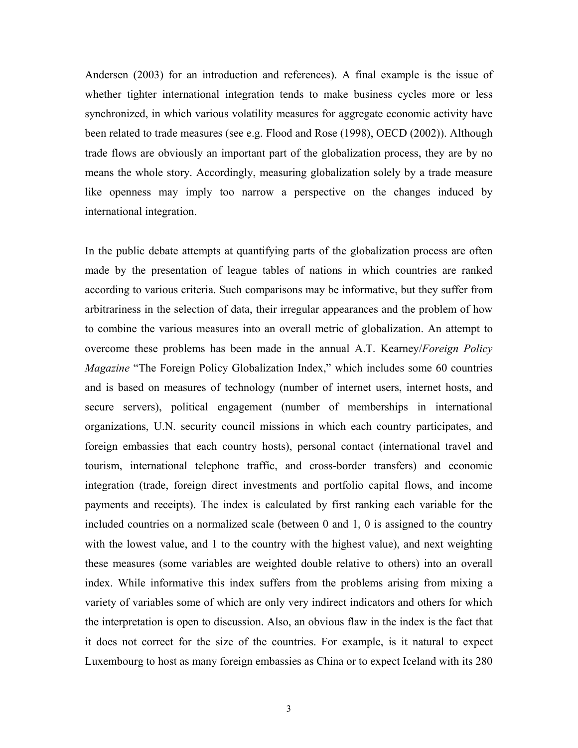Andersen (2003) for an introduction and references). A final example is the issue of whether tighter international integration tends to make business cycles more or less synchronized, in which various volatility measures for aggregate economic activity have been related to trade measures (see e.g. Flood and Rose (1998), OECD (2002)). Although trade flows are obviously an important part of the globalization process, they are by no means the whole story. Accordingly, measuring globalization solely by a trade measure like openness may imply too narrow a perspective on the changes induced by international integration.

In the public debate attempts at quantifying parts of the globalization process are often made by the presentation of league tables of nations in which countries are ranked according to various criteria. Such comparisons may be informative, but they suffer from arbitrariness in the selection of data, their irregular appearances and the problem of how to combine the various measures into an overall metric of globalization. An attempt to overcome these problems has been made in the annual A.T. Kearney/*Foreign Policy Magazine* "The Foreign Policy Globalization Index," which includes some 60 countries and is based on measures of technology (number of internet users, internet hosts, and secure servers), political engagement (number of memberships in international organizations, U.N. security council missions in which each country participates, and foreign embassies that each country hosts), personal contact (international travel and tourism, international telephone traffic, and cross-border transfers) and economic integration (trade, foreign direct investments and portfolio capital flows, and income payments and receipts). The index is calculated by first ranking each variable for the included countries on a normalized scale (between 0 and 1, 0 is assigned to the country with the lowest value, and 1 to the country with the highest value), and next weighting these measures (some variables are weighted double relative to others) into an overall index. While informative this index suffers from the problems arising from mixing a variety of variables some of which are only very indirect indicators and others for which the interpretation is open to discussion. Also, an obvious flaw in the index is the fact that it does not correct for the size of the countries. For example, is it natural to expect Luxembourg to host as many foreign embassies as China or to expect Iceland with its 280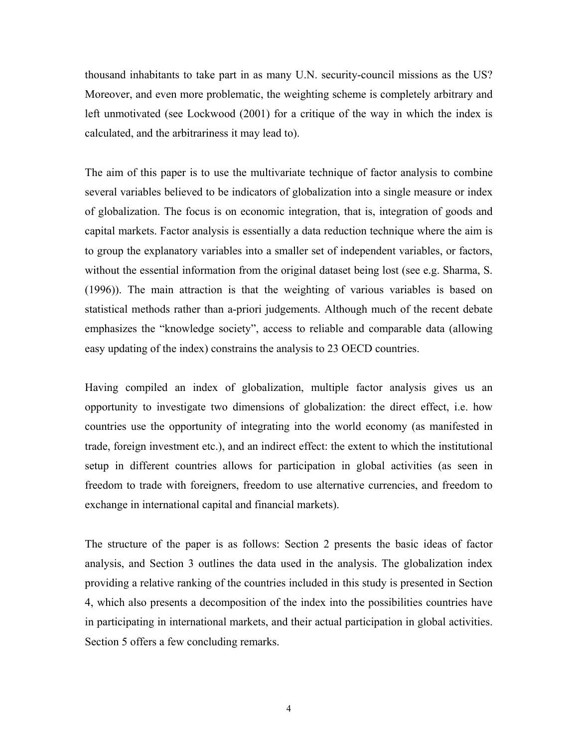thousand inhabitants to take part in as many U.N. security-council missions as the US? Moreover, and even more problematic, the weighting scheme is completely arbitrary and left unmotivated (see Lockwood (2001) for a critique of the way in which the index is calculated, and the arbitrariness it may lead to).

The aim of this paper is to use the multivariate technique of factor analysis to combine several variables believed to be indicators of globalization into a single measure or index of globalization. The focus is on economic integration, that is, integration of goods and capital markets. Factor analysis is essentially a data reduction technique where the aim is to group the explanatory variables into a smaller set of independent variables, or factors, without the essential information from the original dataset being lost (see e.g. Sharma, S. (1996)). The main attraction is that the weighting of various variables is based on statistical methods rather than a-priori judgements. Although much of the recent debate emphasizes the "knowledge society", access to reliable and comparable data (allowing easy updating of the index) constrains the analysis to 23 OECD countries.

Having compiled an index of globalization, multiple factor analysis gives us an opportunity to investigate two dimensions of globalization: the direct effect, i.e. how countries use the opportunity of integrating into the world economy (as manifested in trade, foreign investment etc.), and an indirect effect: the extent to which the institutional setup in different countries allows for participation in global activities (as seen in freedom to trade with foreigners, freedom to use alternative currencies, and freedom to exchange in international capital and financial markets).

The structure of the paper is as follows: Section 2 presents the basic ideas of factor analysis, and Section 3 outlines the data used in the analysis. The globalization index providing a relative ranking of the countries included in this study is presented in Section 4, which also presents a decomposition of the index into the possibilities countries have in participating in international markets, and their actual participation in global activities. Section 5 offers a few concluding remarks.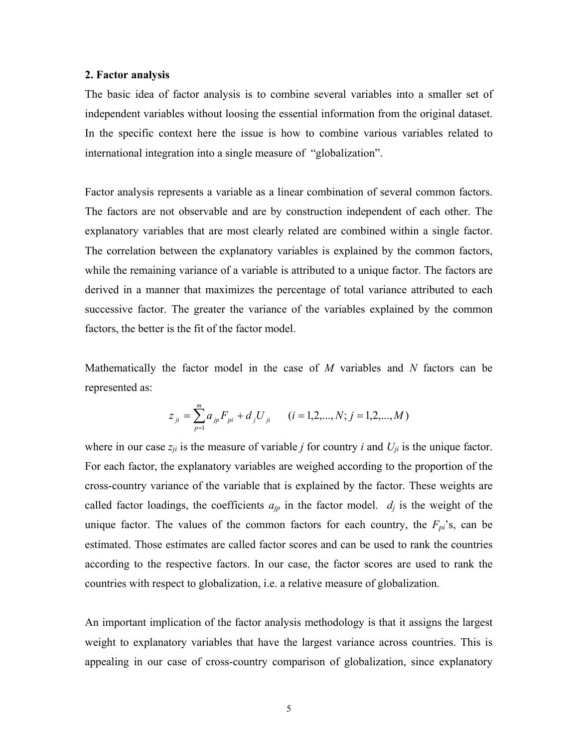#### **2. Factor analysis**

The basic idea of factor analysis is to combine several variables into a smaller set of independent variables without loosing the essential information from the original dataset. In the specific context here the issue is how to combine various variables related to international integration into a single measure of "globalization".

Factor analysis represents a variable as a linear combination of several common factors. The factors are not observable and are by construction independent of each other. The explanatory variables that are most clearly related are combined within a single factor. The correlation between the explanatory variables is explained by the common factors, while the remaining variance of a variable is attributed to a unique factor. The factors are derived in a manner that maximizes the percentage of total variance attributed to each successive factor. The greater the variance of the variables explained by the common factors, the better is the fit of the factor model.

Mathematically the factor model in the case of *M* variables and *N* factors can be represented as:

$$
z_{ji} = \sum_{p=1}^{m} a_{jp} F_{pi} + d_j U_{ji} \qquad (i = 1, 2, ..., N; j = 1, 2, ..., M)
$$

where in our case  $z_{ji}$  is the measure of variable *j* for country *i* and  $U_{ji}$  is the unique factor. For each factor, the explanatory variables are weighed according to the proportion of the cross-country variance of the variable that is explained by the factor. These weights are called factor loadings, the coefficients  $a_{jp}$  in the factor model.  $d_j$  is the weight of the unique factor. The values of the common factors for each country, the  $F_{pi}$ 's, can be estimated. Those estimates are called factor scores and can be used to rank the countries according to the respective factors. In our case, the factor scores are used to rank the countries with respect to globalization, i.e. a relative measure of globalization.

An important implication of the factor analysis methodology is that it assigns the largest weight to explanatory variables that have the largest variance across countries. This is appealing in our case of cross-country comparison of globalization, since explanatory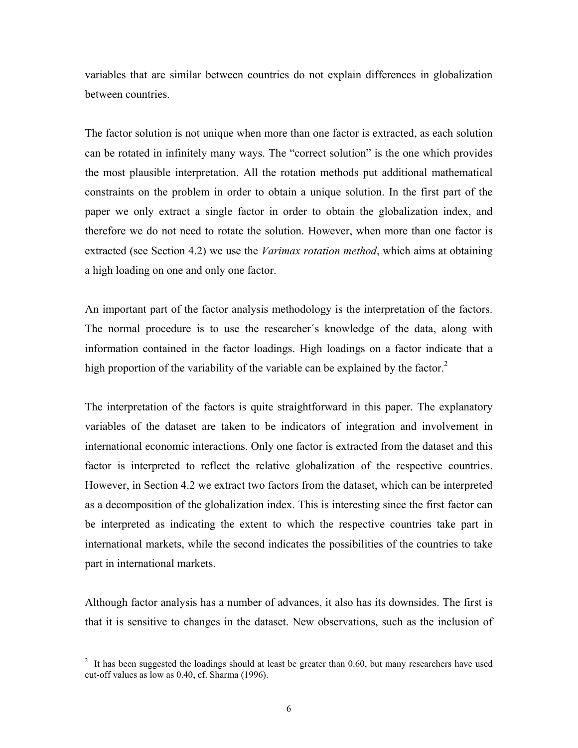variables that are similar between countries do not explain differences in globalization between countries.

The factor solution is not unique when more than one factor is extracted, as each solution can be rotated in infinitely many ways. The "correct solution" is the one which provides the most plausible interpretation. All the rotation methods put additional mathematical constraints on the problem in order to obtain a unique solution. In the first part of the paper we only extract a single factor in order to obtain the globalization index, and therefore we do not need to rotate the solution. However, when more than one factor is extracted (see Section 4.2) we use the *Varimax rotation method*, which aims at obtaining a high loading on one and only one factor.

An important part of the factor analysis methodology is the interpretation of the factors. The normal procedure is to use the researcher´s knowledge of the data, along with information contained in the factor loadings. High loadings on a factor indicate that a high proportion of the variability of the variable can be explained by the factor.<sup>[2](#page-7-0)</sup>

The interpretation of the factors is quite straightforward in this paper. The explanatory variables of the dataset are taken to be indicators of integration and involvement in international economic interactions. Only one factor is extracted from the dataset and this factor is interpreted to reflect the relative globalization of the respective countries. However, in Section 4.2 we extract two factors from the dataset, which can be interpreted as a decomposition of the globalization index. This is interesting since the first factor can be interpreted as indicating the extent to which the respective countries take part in international markets, while the second indicates the possibilities of the countries to take part in international markets.

Although factor analysis has a number of advances, it also has its downsides. The first is that it is sensitive to changes in the dataset. New observations, such as the inclusion of

<span id="page-7-0"></span><sup>&</sup>lt;sup>2</sup> It has been suggested the loadings should at least be greater than 0.60, but many researchers have used cut-off values as low as 0.40, cf. Sharma (1996).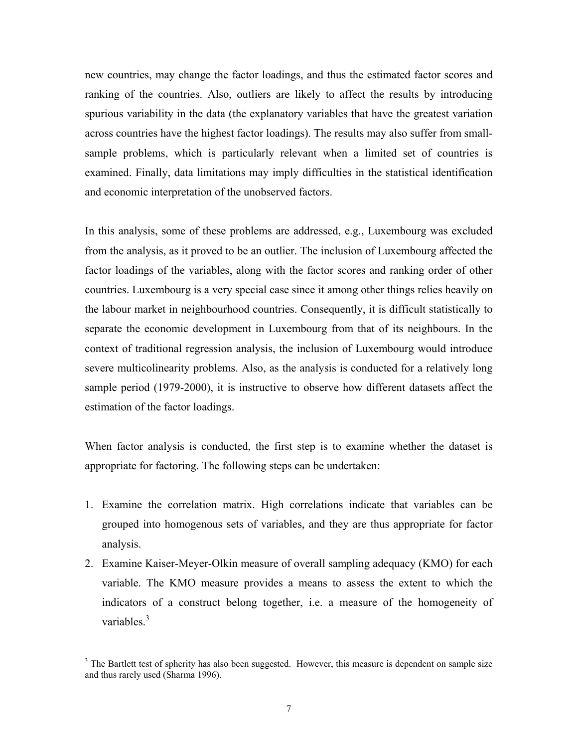new countries, may change the factor loadings, and thus the estimated factor scores and ranking of the countries. Also, outliers are likely to affect the results by introducing spurious variability in the data (the explanatory variables that have the greatest variation across countries have the highest factor loadings). The results may also suffer from smallsample problems, which is particularly relevant when a limited set of countries is examined. Finally, data limitations may imply difficulties in the statistical identification and economic interpretation of the unobserved factors.

In this analysis, some of these problems are addressed, e.g., Luxembourg was excluded from the analysis, as it proved to be an outlier. The inclusion of Luxembourg affected the factor loadings of the variables, along with the factor scores and ranking order of other countries. Luxembourg is a very special case since it among other things relies heavily on the labour market in neighbourhood countries. Consequently, it is difficult statistically to separate the economic development in Luxembourg from that of its neighbours. In the context of traditional regression analysis, the inclusion of Luxembourg would introduce severe multicolinearity problems. Also, as the analysis is conducted for a relatively long sample period (1979-2000), it is instructive to observe how different datasets affect the estimation of the factor loadings.

When factor analysis is conducted, the first step is to examine whether the dataset is appropriate for factoring. The following steps can be undertaken:

- 1. Examine the correlation matrix. High correlations indicate that variables can be grouped into homogenous sets of variables, and they are thus appropriate for factor analysis.
- 2. Examine Kaiser-Meyer-Olkin measure of overall sampling adequacy (KMO) for each variable. The KMO measure provides a means to assess the extent to which the indicators of a construct belong together, i.e. a measure of the homogeneity of variables. $3$

1

<span id="page-8-0"></span> $3$  The Bartlett test of spherity has also been suggested. However, this measure is dependent on sample size and thus rarely used (Sharma 1996).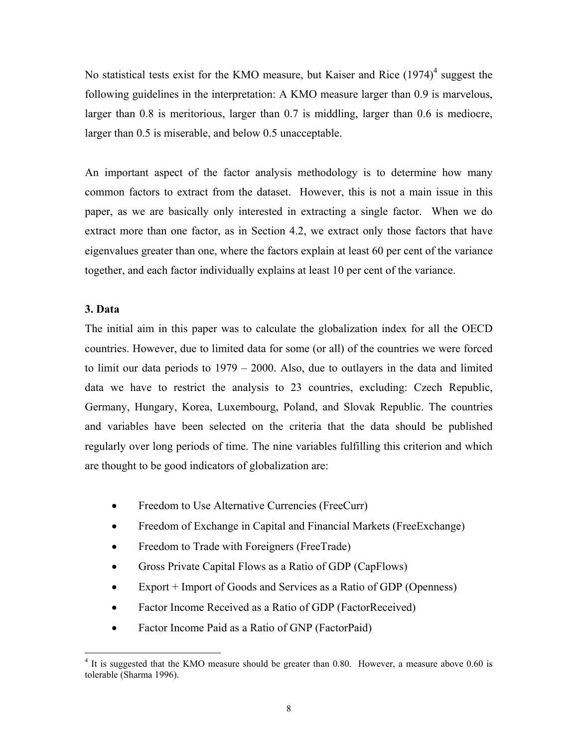No statistical tests exist for the KMO measure, but Kaiser and Rice  $(1974)^4$  $(1974)^4$  $(1974)^4$  suggest the following guidelines in the interpretation: A KMO measure larger than 0.9 is marvelous, larger than 0.8 is meritorious, larger than 0.7 is middling, larger than 0.6 is mediocre, larger than 0.5 is miserable, and below 0.5 unacceptable.

An important aspect of the factor analysis methodology is to determine how many common factors to extract from the dataset. However, this is not a main issue in this paper, as we are basically only interested in extracting a single factor. When we do extract more than one factor, as in Section 4.2, we extract only those factors that have eigenvalues greater than one, where the factors explain at least 60 per cent of the variance together, and each factor individually explains at least 10 per cent of the variance.

#### **3. Data**

 $\overline{a}$ 

The initial aim in this paper was to calculate the globalization index for all the OECD countries. However, due to limited data for some (or all) of the countries we were forced to limit our data periods to 1979 – 2000. Also, due to outlayers in the data and limited data we have to restrict the analysis to 23 countries, excluding: Czech Republic, Germany, Hungary, Korea, Luxembourg, Poland, and Slovak Republic. The countries and variables have been selected on the criteria that the data should be published regularly over long periods of time. The nine variables fulfilling this criterion and which are thought to be good indicators of globalization are:

- Freedom to Use Alternative Currencies (FreeCurr)
- Freedom of Exchange in Capital and Financial Markets (FreeExchange)
- Freedom to Trade with Foreigners (FreeTrade)
- Gross Private Capital Flows as a Ratio of GDP (CapFlows)
- Export + Import of Goods and Services as a Ratio of GDP (Openness)
- Factor Income Received as a Ratio of GDP (FactorReceived)
- Factor Income Paid as a Ratio of GNP (FactorPaid)

<span id="page-9-0"></span> $4$  It is suggested that the KMO measure should be greater than 0.80. However, a measure above 0.60 is tolerable (Sharma 1996).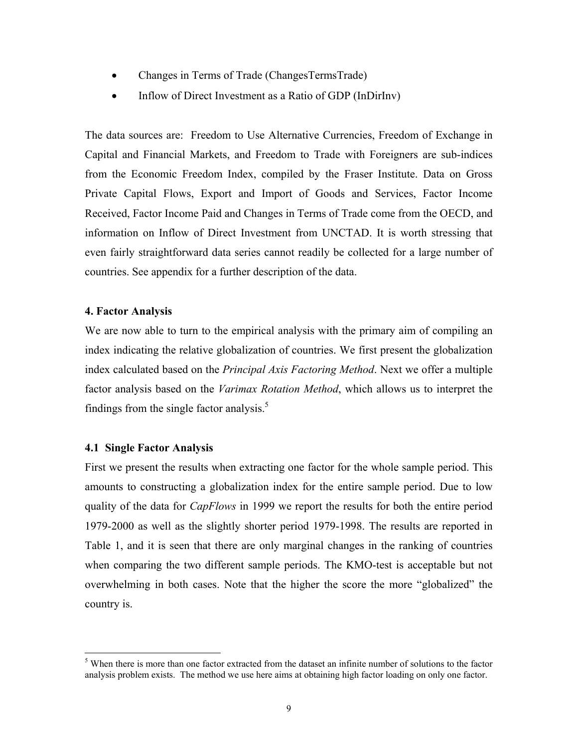- Changes in Terms of Trade (ChangesTermsTrade)
- Inflow of Direct Investment as a Ratio of GDP (InDirInv)

The data sources are: Freedom to Use Alternative Currencies, Freedom of Exchange in Capital and Financial Markets, and Freedom to Trade with Foreigners are sub-indices from the Economic Freedom Index, compiled by the Fraser Institute. Data on Gross Private Capital Flows, Export and Import of Goods and Services, Factor Income Received, Factor Income Paid and Changes in Terms of Trade come from the OECD, and information on Inflow of Direct Investment from UNCTAD. It is worth stressing that even fairly straightforward data series cannot readily be collected for a large number of countries. See appendix for a further description of the data.

#### **4. Factor Analysis**

We are now able to turn to the empirical analysis with the primary aim of compiling an index indicating the relative globalization of countries. We first present the globalization index calculated based on the *Principal Axis Factoring Method*. Next we offer a multiple factor analysis based on the *Varimax Rotation Method*, which allows us to interpret the findings from the single factor analysis. $5$ 

#### **4.1 Single Factor Analysis**

 $\overline{a}$ 

First we present the results when extracting one factor for the whole sample period. This amounts to constructing a globalization index for the entire sample period. Due to low quality of the data for *CapFlows* in 1999 we report the results for both the entire period 1979-2000 as well as the slightly shorter period 1979-1998. The results are reported in Table 1, and it is seen that there are only marginal changes in the ranking of countries when comparing the two different sample periods. The KMO-test is acceptable but not overwhelming in both cases. Note that the higher the score the more "globalized" the country is.

<span id="page-10-0"></span><sup>&</sup>lt;sup>5</sup> When there is more than one factor extracted from the dataset an infinite number of solutions to the factor analysis problem exists. The method we use here aims at obtaining high factor loading on only one factor.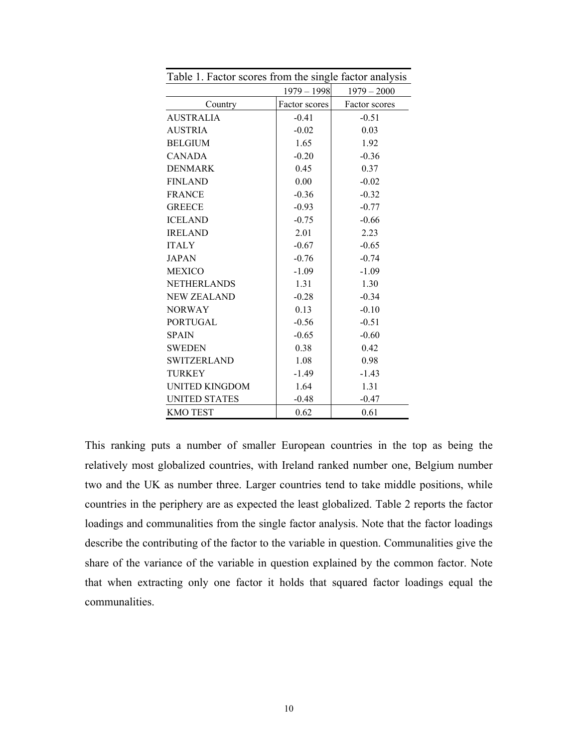| Table 1. Factor scores from the single factor analysis |               |               |  |  |  |
|--------------------------------------------------------|---------------|---------------|--|--|--|
| $1979 - 1998$<br>$1979 - 2000$                         |               |               |  |  |  |
| Country                                                | Factor scores | Factor scores |  |  |  |
| <b>AUSTRALIA</b>                                       | $-0.41$       | $-0.51$       |  |  |  |
| <b>AUSTRIA</b>                                         | $-0.02$       | 0.03          |  |  |  |
| <b>BELGIUM</b>                                         | 1.65          | 1.92          |  |  |  |
| <b>CANADA</b>                                          | $-0.20$       | $-0.36$       |  |  |  |
| <b>DENMARK</b>                                         | 0.45          | 0.37          |  |  |  |
| <b>FINLAND</b>                                         | 0.00          | $-0.02$       |  |  |  |
| <b>FRANCE</b>                                          | $-0.36$       | $-0.32$       |  |  |  |
| <b>GREECE</b>                                          | $-0.93$       | $-0.77$       |  |  |  |
| <b>ICELAND</b>                                         | $-0.75$       | $-0.66$       |  |  |  |
| <b>IRELAND</b>                                         | 2.01          | 2.23          |  |  |  |
| <b>ITALY</b>                                           | $-0.67$       | $-0.65$       |  |  |  |
| <b>JAPAN</b>                                           | $-0.76$       | $-0.74$       |  |  |  |
| <b>MEXICO</b>                                          | $-1.09$       | $-1.09$       |  |  |  |
| <b>NETHERLANDS</b>                                     | 1.31          | 1.30          |  |  |  |
| <b>NEW ZEALAND</b>                                     | $-0.28$       | $-0.34$       |  |  |  |
| <b>NORWAY</b>                                          | 0.13          | $-0.10$       |  |  |  |
| <b>PORTUGAL</b>                                        | $-0.56$       | $-0.51$       |  |  |  |
| <b>SPAIN</b>                                           | $-0.65$       | $-0.60$       |  |  |  |
| <b>SWEDEN</b>                                          | 0.38          | 0.42          |  |  |  |
| <b>SWITZERLAND</b>                                     | 1.08          | 0.98          |  |  |  |
| <b>TURKEY</b>                                          | $-1.49$       | $-1.43$       |  |  |  |
| <b>UNITED KINGDOM</b>                                  | 1.64          | 1.31          |  |  |  |
| <b>UNITED STATES</b>                                   | $-0.48$       | $-0.47$       |  |  |  |
| <b>KMO TEST</b>                                        | 0.62          | 0.61          |  |  |  |

This ranking puts a number of smaller European countries in the top as being the relatively most globalized countries, with Ireland ranked number one, Belgium number two and the UK as number three. Larger countries tend to take middle positions, while countries in the periphery are as expected the least globalized. Table 2 reports the factor loadings and communalities from the single factor analysis. Note that the factor loadings describe the contributing of the factor to the variable in question. Communalities give the share of the variance of the variable in question explained by the common factor. Note that when extracting only one factor it holds that squared factor loadings equal the communalities.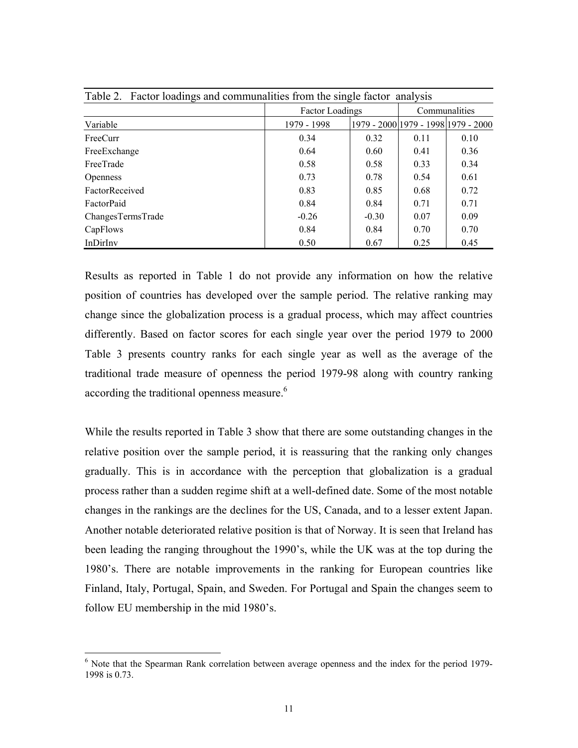| Table 2. Factor loadings and communalities from the single factor analysis |                        |               |                                     |      |  |  |  |  |
|----------------------------------------------------------------------------|------------------------|---------------|-------------------------------------|------|--|--|--|--|
|                                                                            | <b>Factor Loadings</b> | Communalities |                                     |      |  |  |  |  |
| Variable                                                                   | 1979 - 1998            |               | 1979 - 2000 1979 - 1998 1979 - 2000 |      |  |  |  |  |
| FreeCurr                                                                   | 0.34                   | 0.32          | 0.11                                | 0.10 |  |  |  |  |
| FreeExchange                                                               | 0.64                   | 0.60          | 0.41                                | 0.36 |  |  |  |  |
| FreeTrade                                                                  | 0.58                   | 0.58          | 0.33                                | 0.34 |  |  |  |  |
| <b>Openness</b>                                                            | 0.73                   | 0.78          | 0.54                                | 0.61 |  |  |  |  |
| FactorReceived                                                             | 0.83                   | 0.85          | 0.68                                | 0.72 |  |  |  |  |
| FactorPaid                                                                 | 0.84                   | 0.84          | 0.71                                | 0.71 |  |  |  |  |
| ChangesTermsTrade                                                          | $-0.26$                | $-0.30$       | 0.07                                | 0.09 |  |  |  |  |
| CapFlows                                                                   | 0.84                   | 0.84          | 0.70                                | 0.70 |  |  |  |  |
| InDirInv                                                                   | 0.50                   | 0.67          | 0.25                                | 0.45 |  |  |  |  |

Results as reported in Table 1 do not provide any information on how the relative position of countries has developed over the sample period. The relative ranking may change since the globalization process is a gradual process, which may affect countries differently. Based on factor scores for each single year over the period 1979 to 2000 Table 3 presents country ranks for each single year as well as the average of the traditional trade measure of openness the period 1979-98 along with country ranking according the traditional openness measure.<sup>6</sup>

While the results reported in Table 3 show that there are some outstanding changes in the relative position over the sample period, it is reassuring that the ranking only changes gradually. This is in accordance with the perception that globalization is a gradual process rather than a sudden regime shift at a well-defined date. Some of the most notable changes in the rankings are the declines for the US, Canada, and to a lesser extent Japan. Another notable deteriorated relative position is that of Norway. It is seen that Ireland has been leading the ranging throughout the 1990's, while the UK was at the top during the 1980's. There are notable improvements in the ranking for European countries like Finland, Italy, Portugal, Spain, and Sweden. For Portugal and Spain the changes seem to follow EU membership in the mid 1980's.

1

<span id="page-12-0"></span><sup>&</sup>lt;sup>6</sup> Note that the Spearman Rank correlation between average openness and the index for the period 1979-1998 is 0.73.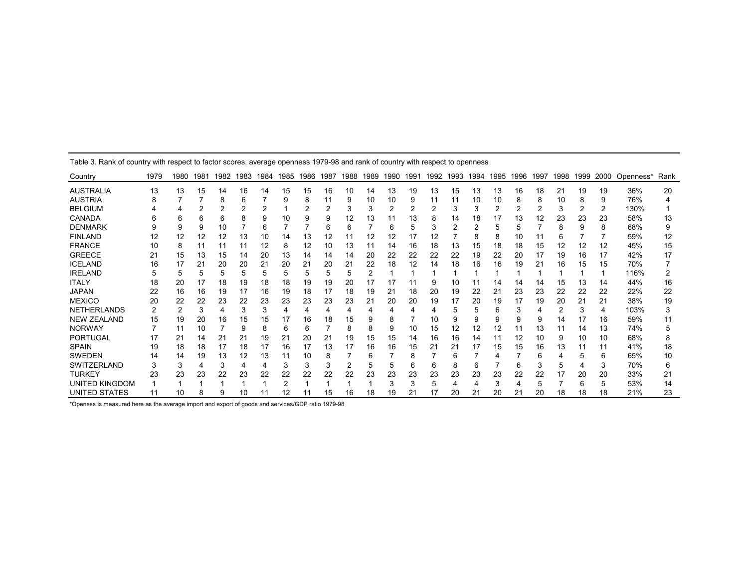| Country            | 1979 | 1980 | 1981 | 1982 | 1983 | 1984 | 1985 | 1986 | 1987 | 1988 | 1989 | 1990 | 1991 | 1992 | 1993 | 1994 | 1995 | 1996 | 1997 | 1998 | 1999 | 2000 | Openness* | Rank |
|--------------------|------|------|------|------|------|------|------|------|------|------|------|------|------|------|------|------|------|------|------|------|------|------|-----------|------|
| <b>AUSTRALIA</b>   | 13   | 13   | 15   | 14   | 16   | 14   | 15   | 15   | 16   | 10   | 14   | 13   | 19   | 13   | 15   | 13   | 13   | 16   | 18   | 21   | 19   | 19   | 36%       | 20   |
| <b>AUSTRIA</b>     |      |      |      | 8    |      |      | 9    | 8    |      | 9    | 10   | 10   | 9    |      | 11   | 10   | 10   | 8    | 8    | 10   |      | 9    | 76%       |      |
| <b>BELGIUM</b>     |      |      |      |      |      |      |      |      |      |      |      |      |      |      |      |      |      |      |      |      |      |      | 130%      |      |
| <b>CANADA</b>      |      |      |      |      |      |      | 10   |      |      | 12   | 13   |      | 13   |      | 14   | 18   | 17   | 13   | 12   | 23   | 23   | 23   | 58%       | 13   |
| <b>DENMARK</b>     |      |      |      | 10   |      |      |      |      |      | 6    |      | h    |      |      |      |      |      |      |      |      |      | 8    | 68%       |      |
| <b>FINLAND</b>     | 12   | 12   | 12   | 12   | 13   | 10   | 14   | 13   | 12   | 11   | 12   | 12   | 17   | 12   |      |      | 8    | 10   |      |      |      |      | 59%       | 12   |
| <b>FRANCE</b>      | 10   | 8    |      | 11   | 11   | 12   | 8    | 12   | 10   | 13   | 11   | 14   | 16   | 18   | 13   | 15   | 18   | 18   | 15   | 12   | 12   | 12   | 45%       | 15   |
| <b>GREECE</b>      | 21   | 15   | 13   | 15   | 14   | 20   | 13   | 14   | 14   | 14   | 20   | 22   | 22   | 22   | 22   | 19   | 22   | 20   | 17   | 19   | 16   | 17   | 42%       | 17   |
| <b>ICELAND</b>     | 16   | 17   | 21   | 20   | 20   | 21   | 20   | 21   | 20   | 21   | 22   | 18   | 12   | 14   | 18   | 16   | 16   | 19   | 21   | 16   | 15   | 15   | 70%       |      |
| <b>IRELAND</b>     |      |      |      | 5    |      |      | 5    | h    |      | 5    |      |      |      |      |      |      |      |      |      |      |      |      | 116%      |      |
| <b>ITALY</b>       | 18   | 20   | 17   | 18   | 19   | 18   | 18   | 19   | 19   | 20   | 17   | 17   |      | 9    | 10   |      | 14   | 14   | 14   | 15   | 13   | 14   | 44%       | 16   |
| JAPAN              | 22   | 16   | 16   | 19   | 17   | 16   | 19   | 18   | 17   | 18   | 19   | 21   | 18   | 20   | 19   | 22   | 21   | 23   | 23   | 22   | 22   | 22   | 22%       | 22   |
| <b>MEXICO</b>      | 20   | 22   | 22   | 23   | 22   | 23   | 23   | 23   | 23   | 23   | 21   | 20   | 20   | 19   | 17   | 20   | 19   | 17   | 19   | 20   | 21   | 21   | 38%       | 19   |
| <b>NETHERLANDS</b> |      |      | 3    |      |      |      |      |      |      |      |      |      |      |      |      |      | 6    |      |      |      |      | 4    | 103%      |      |
| <b>NEW ZEALAND</b> | 15   | 19   | 20   | 16   | 15   | 15   | 17   | 16   | 18   | 15   |      |      |      | 10   |      |      |      | 9    |      | 14   | 17   | 16   | 59%       | 11   |
| <b>NORWAY</b>      |      | 11   | 10   |      | 9    |      | 6    | h    |      | 8    |      |      | 10   | 15   | 12   | 12   | 12   |      | 13   | 11   | 14   | 13   | 74%       |      |
| <b>PORTUGAL</b>    | 17   | 21   | 14   | 21   | 21   | 19   | 21   | 20   | 21   | 19   | 15   | 15   | 14   | 16   | 16   | 14   | 11   | 12   | 10   | 9    | 10   | 10   | 68%       |      |
| <b>SPAIN</b>       | 19   | 18   | 18   | 17   | 18   | 17   | 16   | 17   | 13   | 17   | 16   | 16   | 15   | 21   | 21   | 17   | 15   | 15   | 16   | 13   | 11   | 11   | 41%       | 18   |
| <b>SWEDEN</b>      | 14   | 14   | 19   | 13   | 12   | 13   | 11   | 10   |      |      |      |      | 8    |      | ิค   |      |      |      |      |      |      | 6    | 65%       | 10   |
| <b>SWITZERLAND</b> |      |      |      |      | 4    |      | 3    |      |      |      |      |      | 6    | 6    | 8    |      |      | 6    |      |      |      | 3    | 70%       | 6    |
| <b>TURKEY</b>      | 23   | 23   | 23   | 22   | 23   | 22   | 22   | 22   | 22   | 22   | 23   | 23   | 23   | 23   | 23   | 23   | 23   | 22   | 22   | 17   | 20   | 20   | 33%       | 21   |
| UNITED KINGDOM     |      |      |      |      |      |      |      |      |      |      |      |      |      |      |      |      | 3    |      |      |      |      | 5    | 53%       | 14   |
| UNITED STATES      | 11   | 10   | 8    | g    | 10   | 11   | 12   | 11   | 15   | 16   | 18   | 19   | 21   | 17   | 20   | 21   | 20   | 21   | 20   | 18   | 18   | 18   | 21%       | 23   |

Table 3. Rank of country with respect to factor scores, average openness 1979-98 and rank of country with respect to openness

\*Openess is measured here as the average import and export of goods and services/GDP ratio 1979-98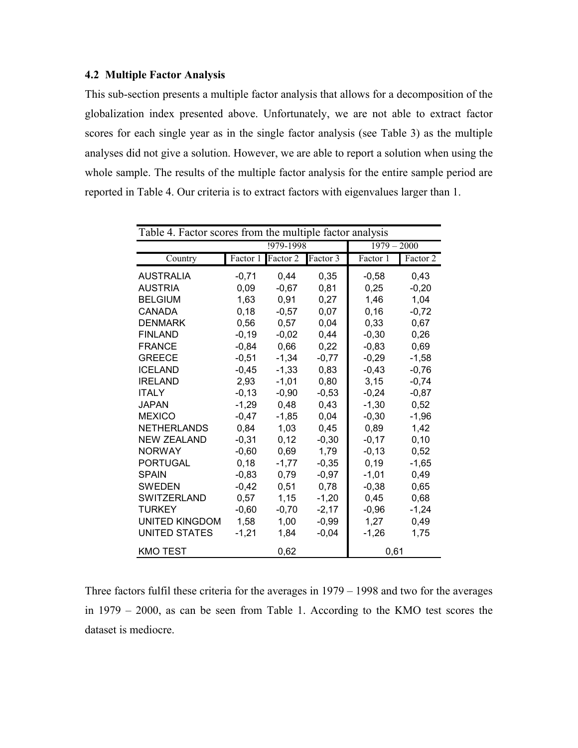#### **4.2 Multiple Factor Analysis**

This sub-section presents a multiple factor analysis that allows for a decomposition of the globalization index presented above. Unfortunately, we are not able to extract factor scores for each single year as in the single factor analysis (see Table 3) as the multiple analyses did not give a solution. However, we are able to report a solution when using the whole sample. The results of the multiple factor analysis for the entire sample period are reported in Table 4. Our criteria is to extract factors with eigenvalues larger than 1.

| Table 4. Factor scores from the multiple factor analysis |          |          |          |          |          |  |  |
|----------------------------------------------------------|----------|----------|----------|----------|----------|--|--|
| !979-1998<br>$1979 - 2000$                               |          |          |          |          |          |  |  |
| Country                                                  | Factor 1 | Factor 2 | Factor 3 | Factor 1 | Factor 2 |  |  |
| <b>AUSTRALIA</b>                                         | $-0,71$  | 0,44     | 0,35     | $-0,58$  | 0,43     |  |  |
| <b>AUSTRIA</b>                                           | 0,09     | $-0.67$  | 0,81     | 0,25     | $-0,20$  |  |  |
| <b>BELGIUM</b>                                           | 1,63     | 0,91     | 0,27     | 1,46     | 1,04     |  |  |
| <b>CANADA</b>                                            | 0,18     | $-0,57$  | 0,07     | 0, 16    | $-0,72$  |  |  |
| <b>DENMARK</b>                                           | 0,56     | 0,57     | 0,04     | 0,33     | 0,67     |  |  |
| <b>FINLAND</b>                                           | $-0,19$  | $-0,02$  | 0,44     | $-0,30$  | 0,26     |  |  |
| <b>FRANCE</b>                                            | $-0,84$  | 0,66     | 0,22     | $-0,83$  | 0,69     |  |  |
| <b>GREECE</b>                                            | $-0,51$  | $-1,34$  | $-0,77$  | $-0,29$  | $-1,58$  |  |  |
| <b>ICELAND</b>                                           | $-0,45$  | $-1,33$  | 0,83     | $-0,43$  | $-0,76$  |  |  |
| <b>IRELAND</b>                                           | 2,93     | $-1,01$  | 0,80     | 3,15     | $-0,74$  |  |  |
| ITALY                                                    | $-0,13$  | $-0,90$  | $-0,53$  | $-0,24$  | $-0,87$  |  |  |
| <b>JAPAN</b>                                             | $-1,29$  | 0.48     | 0,43     | $-1,30$  | 0,52     |  |  |
| <b>MEXICO</b>                                            | $-0,47$  | $-1,85$  | 0,04     | $-0,30$  | $-1,96$  |  |  |
| <b>NETHERLANDS</b>                                       | 0,84     | 1,03     | 0,45     | 0,89     | 1,42     |  |  |
| <b>NEW ZEALAND</b>                                       | $-0,31$  | 0,12     | $-0,30$  | $-0,17$  | 0, 10    |  |  |
| <b>NORWAY</b>                                            | $-0,60$  | 0,69     | 1,79     | $-0,13$  | 0,52     |  |  |
| <b>PORTUGAL</b>                                          | 0, 18    | $-1,77$  | $-0,35$  | 0, 19    | $-1,65$  |  |  |
| <b>SPAIN</b>                                             | $-0,83$  | 0,79     | $-0,97$  | $-1,01$  | 0,49     |  |  |
| <b>SWEDEN</b>                                            | $-0,42$  | 0,51     | 0,78     | $-0,38$  | 0,65     |  |  |
| <b>SWITZERLAND</b>                                       | 0,57     | 1,15     | $-1,20$  | 0,45     | 0,68     |  |  |
| <b>TURKEY</b>                                            | $-0,60$  | $-0,70$  | $-2,17$  | $-0,96$  | $-1,24$  |  |  |
| UNITED KINGDOM                                           | 1,58     | 1,00     | $-0,99$  | 1,27     | 0,49     |  |  |
| UNITED STATES                                            | $-1,21$  | 1,84     | $-0.04$  | $-1,26$  | 1,75     |  |  |
| <b>KMO TEST</b>                                          |          | 0,62     |          | 0,61     |          |  |  |

Three factors fulfil these criteria for the averages in 1979 – 1998 and two for the averages in 1979 – 2000, as can be seen from Table 1. According to the KMO test scores the dataset is mediocre.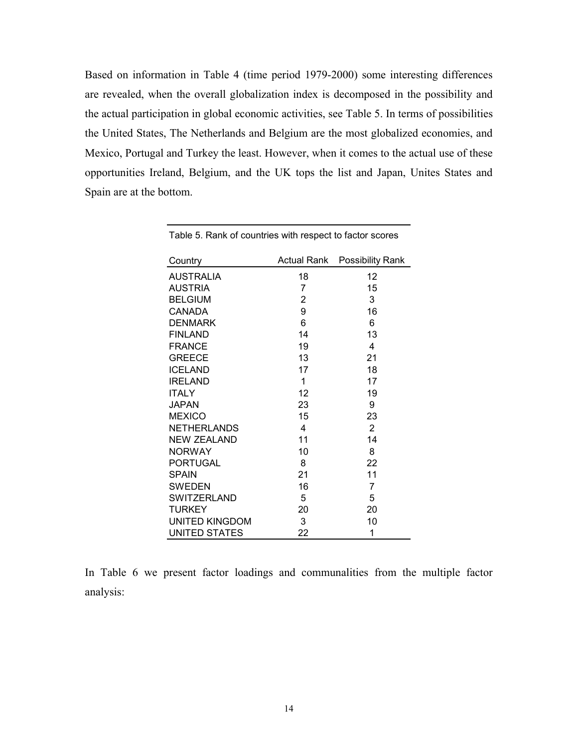Based on information in Table 4 (time period 1979-2000) some interesting differences are revealed, when the overall globalization index is decomposed in the possibility and the actual participation in global economic activities, see Table 5. In terms of possibilities the United States, The Netherlands and Belgium are the most globalized economies, and Mexico, Portugal and Turkey the least. However, when it comes to the actual use of these opportunities Ireland, Belgium, and the UK tops the list and Japan, Unites States and Spain are at the bottom.

| Country              | Actual Rank | <b>Possibility Rank</b> |
|----------------------|-------------|-------------------------|
| <b>AUSTRALIA</b>     | 18          | 12                      |
| <b>AUSTRIA</b>       | 7           | 15                      |
| <b>BELGIUM</b>       | 2           | 3                       |
| CANADA               | 9           | 16                      |
| <b>DENMARK</b>       | 6           | 6                       |
| <b>FINLAND</b>       | 14          | 13                      |
| <b>FRANCE</b>        | 19          | 4                       |
| <b>GREECE</b>        | 13          | 21                      |
| <b>ICELAND</b>       | 17          | 18                      |
| <b>IRELAND</b>       | 1           | 17                      |
| <b>ITALY</b>         | 12          | 19                      |
| <b>JAPAN</b>         | 23          | 9                       |
| <b>MEXICO</b>        | 15          | 23                      |
| <b>NETHERLANDS</b>   | 4           | 2                       |
| <b>NEW ZEALAND</b>   | 11          | 14                      |
| <b>NORWAY</b>        | 10          | 8                       |
| PORTUGAL             | 8           | 22                      |
| <b>SPAIN</b>         | 21          | 11                      |
| <b>SWEDEN</b>        | 16          | 7                       |
| <b>SWITZERLAND</b>   | 5           | 5                       |
| <b>TURKEY</b>        | 20          | 20                      |
| UNITED KINGDOM       | 3           | 10                      |
| <b>UNITED STATES</b> | 22          | 1                       |

In Table 6 we present factor loadings and communalities from the multiple factor analysis: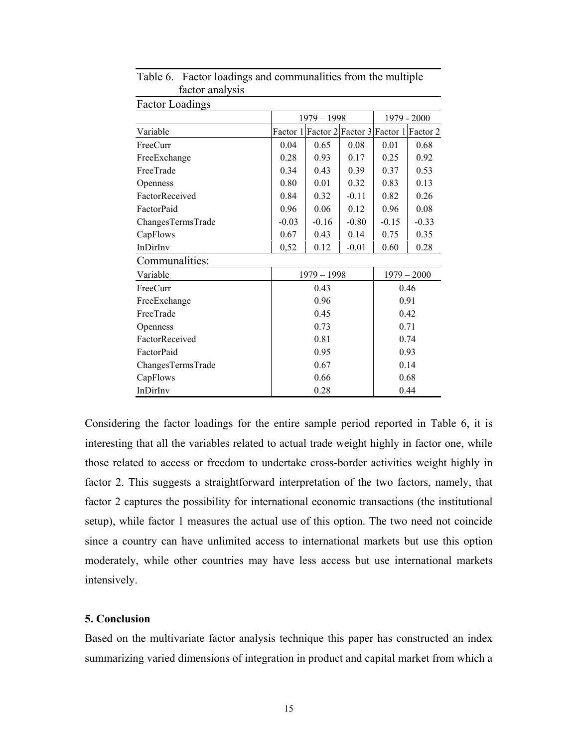| ración Loguings     |              |               |             |         |                                              |  |  |
|---------------------|--------------|---------------|-------------|---------|----------------------------------------------|--|--|
|                     |              | $1979 - 1998$ | 1979 - 2000 |         |                                              |  |  |
| Variable            |              |               |             |         | Factor 1 Factor 2 Factor 3 Factor 1 Factor 2 |  |  |
| FreeCurr            | 0.04         | 0.65          | 0.08        | 0.01    | 0.68                                         |  |  |
| FreeExchange        | 0.28         | 0.93          | 0.17        | 0.25    | 0.92                                         |  |  |
| FreeTrade           | 0.34         | 0.43          | 0.39        | 0.37    | 0.53                                         |  |  |
| Openness            | 0.80         | 0.01          | 0.32        | 0.83    | 0.13                                         |  |  |
| FactorReceived      | 0.84         | 0.32          | $-0.11$     | 0.82    | 0.26                                         |  |  |
| FactorPaid          | 0.96         | 0.06          | 0.12        | 0.96    | 0.08                                         |  |  |
| ChangesTermsTrade   | $-0.03$      | $-0.16$       | $-0.80$     | $-0.15$ | $-0.33$                                      |  |  |
| CapFlows            | 0.67         | 0.43          | 0.14        | 0.75    | 0.35                                         |  |  |
| InDirInv            | 0,52         | 0.12          | $-0.01$     | 0.60    | 0.28                                         |  |  |
| Communalities:      |              |               |             |         |                                              |  |  |
| Variable            |              | $1979 - 1998$ |             |         | $1979 - 2000$                                |  |  |
| FreeCurr            |              | 0.43          |             | 0.46    |                                              |  |  |
| FreeExchange        |              | 0.96          |             | 0.91    |                                              |  |  |
| FreeTrade           | 0.45<br>0.42 |               |             |         |                                              |  |  |
| Openness            |              | 0.73          |             |         |                                              |  |  |
| FactorReceived      |              | 0.81          | 0.74        |         |                                              |  |  |
| FactorPaid          |              | 0.95          |             | 0.93    |                                              |  |  |
| Changes Terms Trade |              | 0.67          |             | 0.14    |                                              |  |  |
| CapFlows            |              | 0.66          |             |         | 0.68                                         |  |  |
| InDirInv            |              | 0.28          |             | 0.44    |                                              |  |  |

Table 6. Factor loadings and communalities from the multiple factor analysis Factor Loadings

Considering the factor loadings for the entire sample period reported in Table 6, it is interesting that all the variables related to actual trade weight highly in factor one, while those related to access or freedom to undertake cross-border activities weight highly in factor 2. This suggests a straightforward interpretation of the two factors, namely, that factor 2 captures the possibility for international economic transactions (the institutional setup), while factor 1 measures the actual use of this option. The two need not coincide since a country can have unlimited access to international markets but use this option moderately, while other countries may have less access but use international markets intensively.

#### **5. Conclusion**

Based on the multivariate factor analysis technique this paper has constructed an index summarizing varied dimensions of integration in product and capital market from which a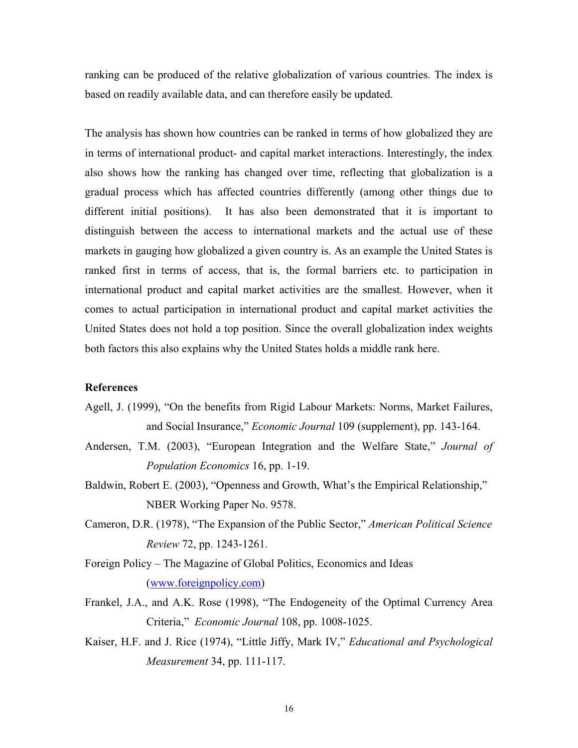ranking can be produced of the relative globalization of various countries. The index is based on readily available data, and can therefore easily be updated.

The analysis has shown how countries can be ranked in terms of how globalized they are in terms of international product- and capital market interactions. Interestingly, the index also shows how the ranking has changed over time, reflecting that globalization is a gradual process which has affected countries differently (among other things due to different initial positions). It has also been demonstrated that it is important to distinguish between the access to international markets and the actual use of these markets in gauging how globalized a given country is. As an example the United States is ranked first in terms of access, that is, the formal barriers etc. to participation in international product and capital market activities are the smallest. However, when it comes to actual participation in international product and capital market activities the United States does not hold a top position. Since the overall globalization index weights both factors this also explains why the United States holds a middle rank here.

#### **References**

- Agell, J. (1999), "On the benefits from Rigid Labour Markets: Norms, Market Failures, and Social Insurance," *Economic Journal* 109 (supplement), pp. 143-164.
- Andersen, T.M. (2003), "European Integration and the Welfare State," *Journal of Population Economics* 16, pp. 1-19.
- Baldwin, Robert E. (2003), "Openness and Growth, What's the Empirical Relationship," NBER Working Paper No. 9578.
- Cameron, D.R. (1978), "The Expansion of the Public Sector," *American Political Science Review* 72, pp. 1243-1261.
- Foreign Policy The Magazine of Global Politics, Economics and Ideas [\(www.foreignpolicy.com](http://www.foreignpolicy.com/))
- Frankel, J.A., and A.K. Rose (1998), "The Endogeneity of the Optimal Currency Area Criteria," *Economic Journal* 108, pp. 1008-1025.
- Kaiser, H.F. and J. Rice (1974), "Little Jiffy, Mark IV," *Educational and Psychological Measurement* 34, pp. 111-117.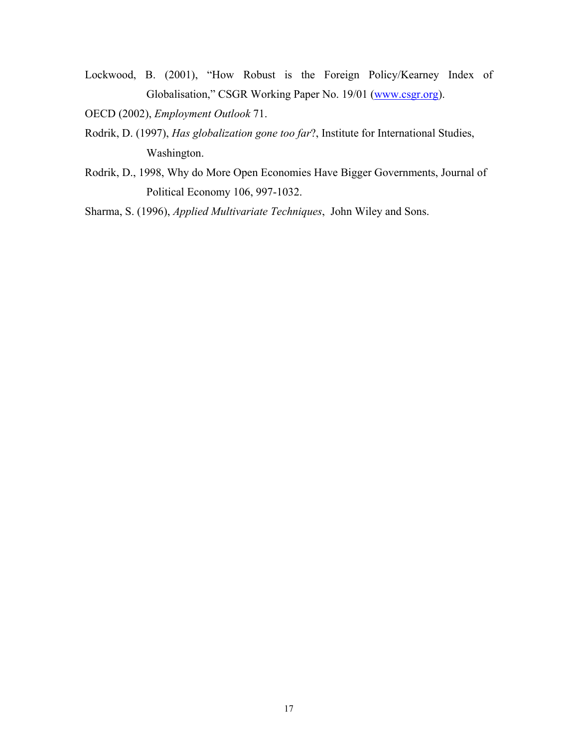- Lockwood, B. (2001), "How Robust is the Foreign Policy/Kearney Index of Globalisation," CSGR Working Paper No. 19/01 ([www.csgr.org\)](http://www.csgr.org/).
- OECD (2002), *Employment Outlook* 71.
- Rodrik, D. (1997), *Has globalization gone too far*?, Institute for International Studies, Washington.
- Rodrik, D., 1998, Why do More Open Economies Have Bigger Governments, Journal of Political Economy 106, 997-1032.
- Sharma, S. (1996), *Applied Multivariate Techniques*, John Wiley and Sons.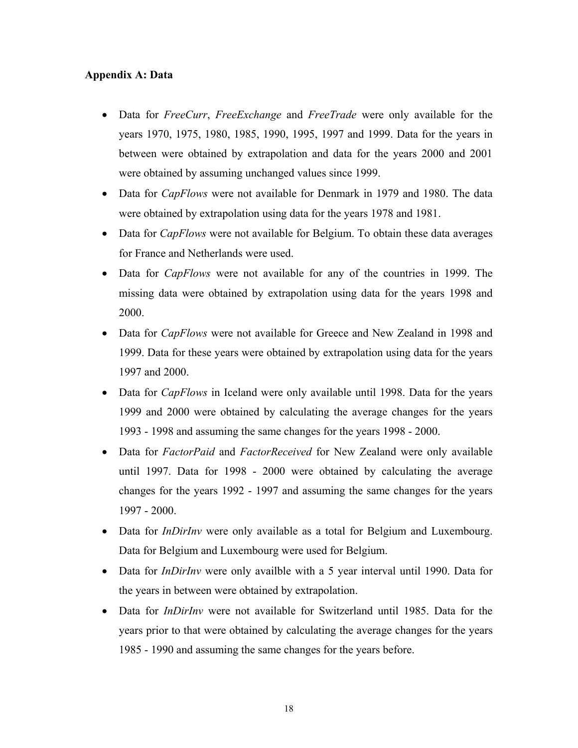#### **Appendix A: Data**

- Data for *FreeCurr*, *FreeExchange* and *FreeTrade* were only available for the years 1970, 1975, 1980, 1985, 1990, 1995, 1997 and 1999. Data for the years in between were obtained by extrapolation and data for the years 2000 and 2001 were obtained by assuming unchanged values since 1999.
- Data for *CapFlows* were not available for Denmark in 1979 and 1980. The data were obtained by extrapolation using data for the years 1978 and 1981.
- Data for *CapFlows* were not available for Belgium. To obtain these data averages for France and Netherlands were used.
- Data for *CapFlows* were not available for any of the countries in 1999. The missing data were obtained by extrapolation using data for the years 1998 and 2000.
- Data for *CapFlows* were not available for Greece and New Zealand in 1998 and 1999. Data for these years were obtained by extrapolation using data for the years 1997 and 2000.
- Data for *CapFlows* in Iceland were only available until 1998. Data for the years 1999 and 2000 were obtained by calculating the average changes for the years 1993 - 1998 and assuming the same changes for the years 1998 - 2000.
- Data for *FactorPaid* and *FactorReceived* for New Zealand were only available until 1997. Data for 1998 - 2000 were obtained by calculating the average changes for the years 1992 - 1997 and assuming the same changes for the years 1997 - 2000.
- Data for *InDirInv* were only available as a total for Belgium and Luxembourg. Data for Belgium and Luxembourg were used for Belgium.
- Data for *InDirInv* were only availble with a 5 year interval until 1990. Data for the years in between were obtained by extrapolation.
- Data for *InDirInv* were not available for Switzerland until 1985. Data for the years prior to that were obtained by calculating the average changes for the years 1985 - 1990 and assuming the same changes for the years before.